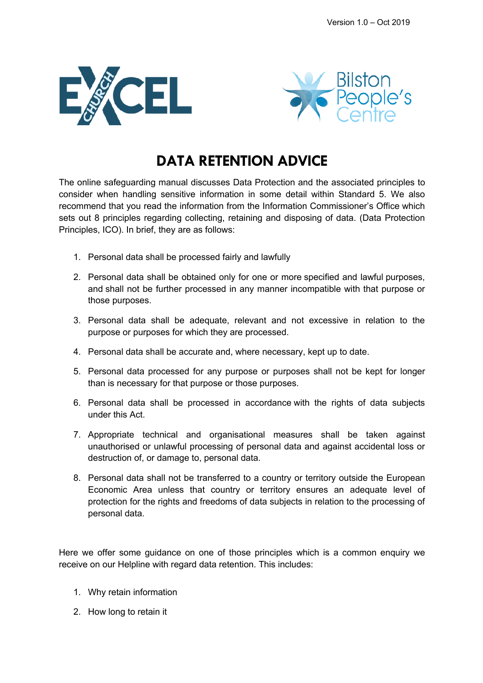



# **DATA RETENTION ADVICE**

The online safeguarding manual discusses Data Protection and the associated principles to consider when handling sensitive information in some detail within Standard 5. We also recommend that you read the information from the Information Commissioner's Office which sets out 8 principles regarding collecting, retaining and disposing of data. (Data Protection Principles, ICO). In brief, they are as follows:

- 1. Personal data shall be processed fairly and lawfully
- 2. Personal data shall be obtained only for one or more specified and lawful purposes, and shall not be further processed in any manner incompatible with that purpose or those purposes.
- 3. Personal data shall be adequate, relevant and not excessive in relation to the purpose or purposes for which they are processed.
- 4. Personal data shall be accurate and, where necessary, kept up to date.
- 5. Personal data processed for any purpose or purposes shall not be kept for longer than is necessary for that purpose or those purposes.
- 6. Personal data shall be processed in accordance with the rights of data subjects under this Act.
- 7. Appropriate technical and organisational measures shall be taken against unauthorised or unlawful processing of personal data and against accidental loss or destruction of, or damage to, personal data.
- 8. Personal data shall not be transferred to a country or territory outside the European Economic Area unless that country or territory ensures an adequate level of protection for the rights and freedoms of data subjects in relation to the processing of personal data.

Here we offer some guidance on one of those principles which is a common enquiry we receive on our Helpline with regard data retention. This includes:

- 1. Why retain information
- 2. How long to retain it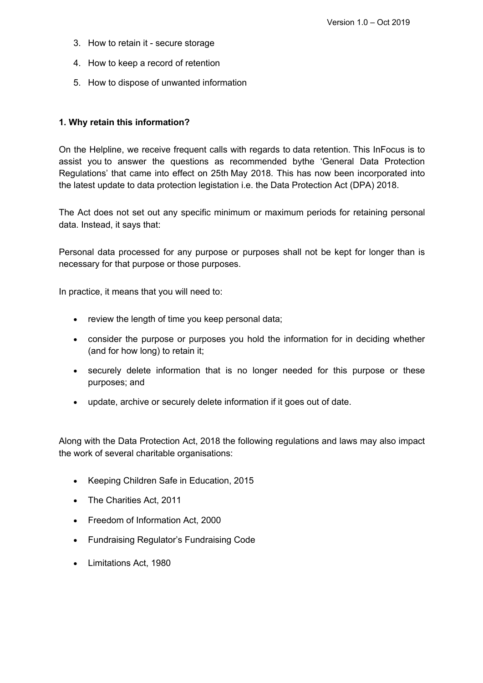- 3. How to retain it secure storage
- 4. How to keep a record of retention
- 5. How to dispose of unwanted information

#### **1. Why retain this information?**

On the Helpline, we receive frequent calls with regards to data retention. This InFocus is to assist you to answer the questions as recommended bythe 'General Data Protection Regulations' that came into effect on 25th May 2018. This has now been incorporated into the latest update to data protection legistation i.e. the Data Protection Act (DPA) 2018.

The Act does not set out any specific minimum or maximum periods for retaining personal data. Instead, it says that:

Personal data processed for any purpose or purposes shall not be kept for longer than is necessary for that purpose or those purposes.

In practice, it means that you will need to:

- review the length of time you keep personal data;
- consider the purpose or purposes you hold the information for in deciding whether (and for how long) to retain it;
- securely delete information that is no longer needed for this purpose or these purposes; and
- update, archive or securely delete information if it goes out of date.

Along with the Data Protection Act, 2018 the following regulations and laws may also impact the work of several charitable organisations:

- Keeping Children Safe in Education, 2015
- The Charities Act, 2011
- Freedom of Information Act, 2000
- Fundraising Regulator's Fundraising Code
- Limitations Act, 1980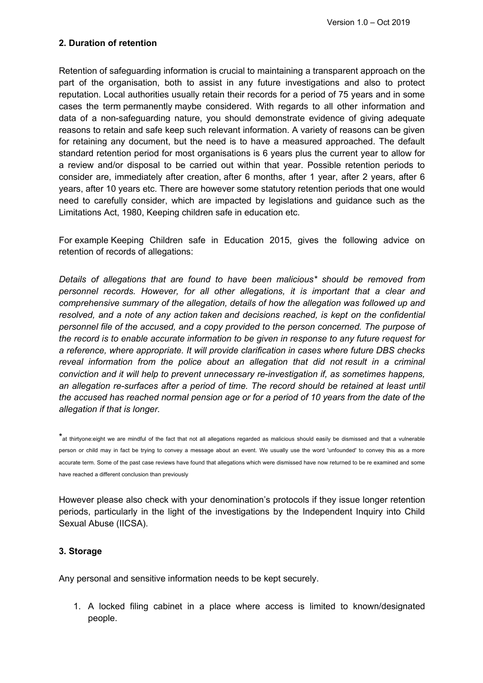## **2. Duration of retention**

Retention of safeguarding information is crucial to maintaining a transparent approach on the part of the organisation, both to assist in any future investigations and also to protect reputation. Local authorities usually retain their records for a period of 75 years and in some cases the term permanently maybe considered. With regards to all other information and data of a non-safeguarding nature, you should demonstrate evidence of giving adequate reasons to retain and safe keep such relevant information. A variety of reasons can be given for retaining any document, but the need is to have a measured approached. The default standard retention period for most organisations is 6 years plus the current year to allow for a review and/or disposal to be carried out within that year. Possible retention periods to consider are, immediately after creation, after 6 months, after 1 year, after 2 years, after 6 years, after 10 years etc. There are however some statutory retention periods that one would need to carefully consider, which are impacted by legislations and guidance such as the Limitations Act, 1980, Keeping children safe in education etc.

For example Keeping Children safe in Education 2015, gives the following advice on retention of records of allegations:

*Details of allegations that are found to have been malicious\* should be removed from personnel records. However, for all other allegations, it is important that a clear and comprehensive summary of the allegation, details of how the allegation was followed up and resolved, and a note of any action taken and decisions reached, is kept on the confidential personnel file of the accused, and a copy provided to the person concerned. The purpose of the record is to enable accurate information to be given in response to any future request for a reference, where appropriate. It will provide clarification in cases where future DBS checks reveal information from the police about an allegation that did not result in a criminal conviction and it will help to prevent unnecessary re-investigation if, as sometimes happens, an allegation re-surfaces after a period of time. The record should be retained at least until the accused has reached normal pension age or for a period of 10 years from the date of the allegation if that is longer.*

\*at thirtyone:eight we are mindful of the fact that not all allegations regarded as malicious should easily be dismissed and that a vulnerable person or child may in fact be trying to convey a message about an event. We usually use the word 'unfounded' to convey this as a more accurate term. Some of the past case reviews have found that allegations which were dismissed have now returned to be re examined and some have reached a different conclusion than previously

However please also check with your denomination's protocols if they issue longer retention periods, particularly in the light of the investigations by the Independent Inquiry into Child Sexual Abuse (IICSA).

#### **3. Storage**

Any personal and sensitive information needs to be kept securely.

1. A locked filing cabinet in a place where access is limited to known/designated people.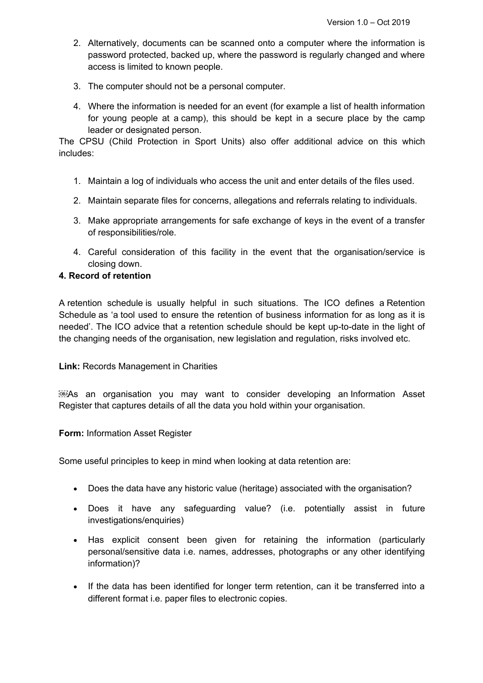- 2. Alternatively, documents can be scanned onto a computer where the information is password protected, backed up, where the password is regularly changed and where access is limited to known people.
- 3. The computer should not be a personal computer.
- 4. Where the information is needed for an event (for example a list of health information for young people at a camp), this should be kept in a secure place by the camp leader or designated person.

The CPSU (Child Protection in Sport Units) also offer additional advice on this which includes:

- 1. Maintain a log of individuals who access the unit and enter details of the files used.
- 2. Maintain separate files for concerns, allegations and referrals relating to individuals.
- 3. Make appropriate arrangements for safe exchange of keys in the event of a transfer of responsibilities/role.
- 4. Careful consideration of this facility in the event that the organisation/service is closing down.

#### **4. Record of retention**

A retention schedule is usually helpful in such situations. The ICO defines a Retention Schedule as 'a tool used to ensure the retention of business information for as long as it is needed'. The ICO advice that a retention schedule should be kept up-to-date in the light of the changing needs of the organisation, new legislation and regulation, risks involved etc.

#### **Link:** Records Management in Charities

As an organisation you may want to consider developing an Information Asset Register that captures details of all the data you hold within your organisation.

#### **Form:** Information Asset Register

Some useful principles to keep in mind when looking at data retention are:

- Does the data have any historic value (heritage) associated with the organisation?
- Does it have any safeguarding value? (i.e. potentially assist in future investigations/enquiries)
- Has explicit consent been given for retaining the information (particularly personal/sensitive data i.e. names, addresses, photographs or any other identifying information)?
- If the data has been identified for longer term retention, can it be transferred into a different format i.e. paper files to electronic copies.